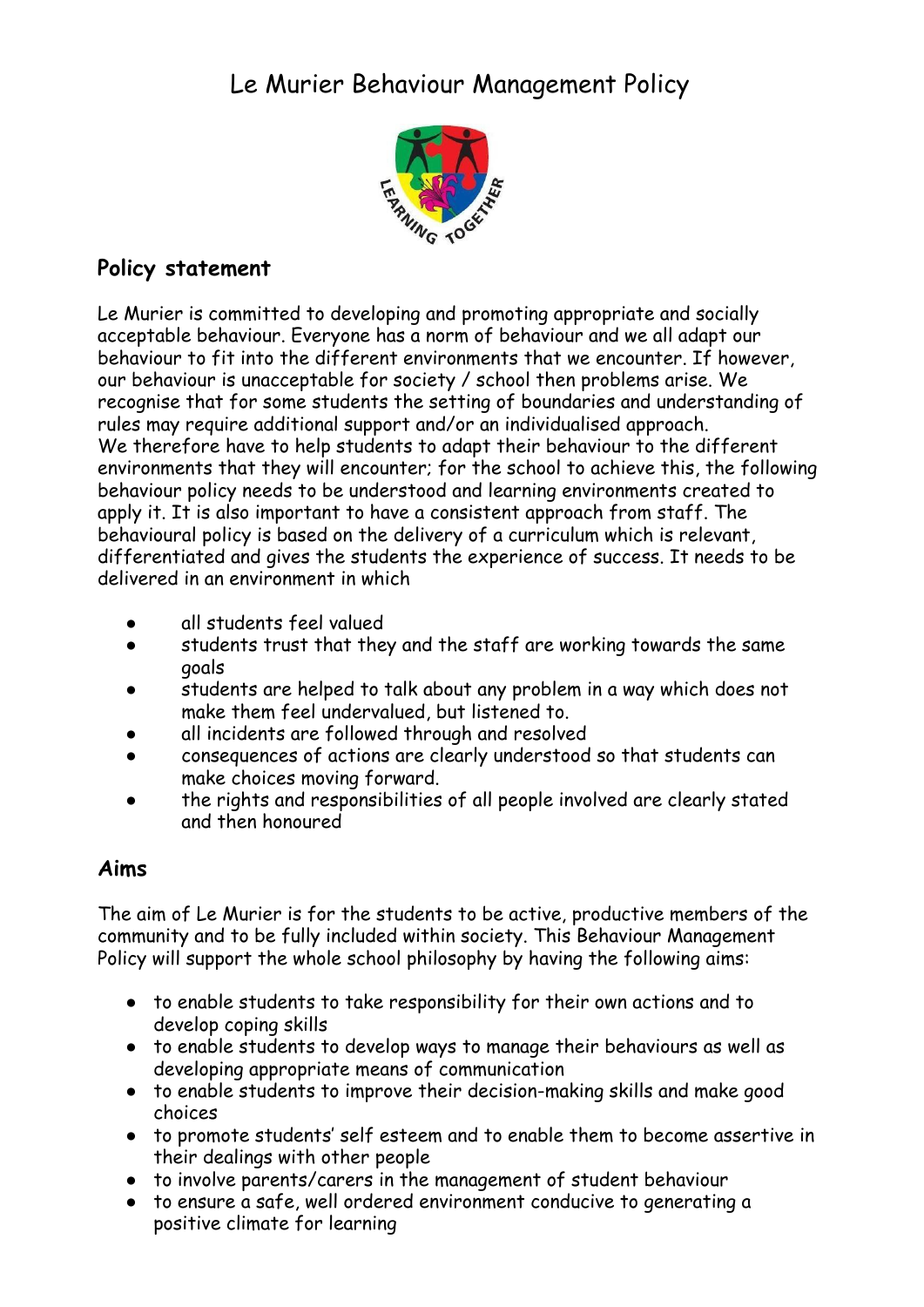# Le Murier Behaviour Management Policy



# **Policy statement**

Le Murier is committed to developing and promoting appropriate and socially acceptable behaviour. Everyone has a norm of behaviour and we all adapt our behaviour to fit into the different environments that we encounter. If however, our behaviour is unacceptable for society / school then problems arise. We recognise that for some students the setting of boundaries and understanding of rules may require additional support and/or an individualised approach. We therefore have to help students to adapt their behaviour to the different environments that they will encounter; for the school to achieve this, the following behaviour policy needs to be understood and learning environments created to apply it. It is also important to have a consistent approach from staff. The behavioural policy is based on the delivery of a curriculum which is relevant, differentiated and gives the students the experience of success. It needs to be delivered in an environment in which

- all students feel valued
- students trust that they and the staff are working towards the same goals
- students are helped to talk about any problem in a way which does not make them feel undervalued, but listened to.
- all incidents are followed through and resolved
- consequences of actions are clearly understood so that students can make choices moving forward.
- the rights and responsibilities of all people involved are clearly stated and then honoured

# **Aims**

The aim of Le Murier is for the students to be active, productive members of the community and to be fully included within society. This Behaviour Management Policy will support the whole school philosophy by having the following aims:

- to enable students to take responsibility for their own actions and to develop coping skills
- to enable students to develop ways to manage their behaviours as well as developing appropriate means of communication
- to enable students to improve their decision-making skills and make good choices
- to promote students' self esteem and to enable them to become assertive in their dealings with other people
- to involve parents/carers in the management of student behaviour
- to ensure a safe, well ordered environment conducive to generating a positive climate for learning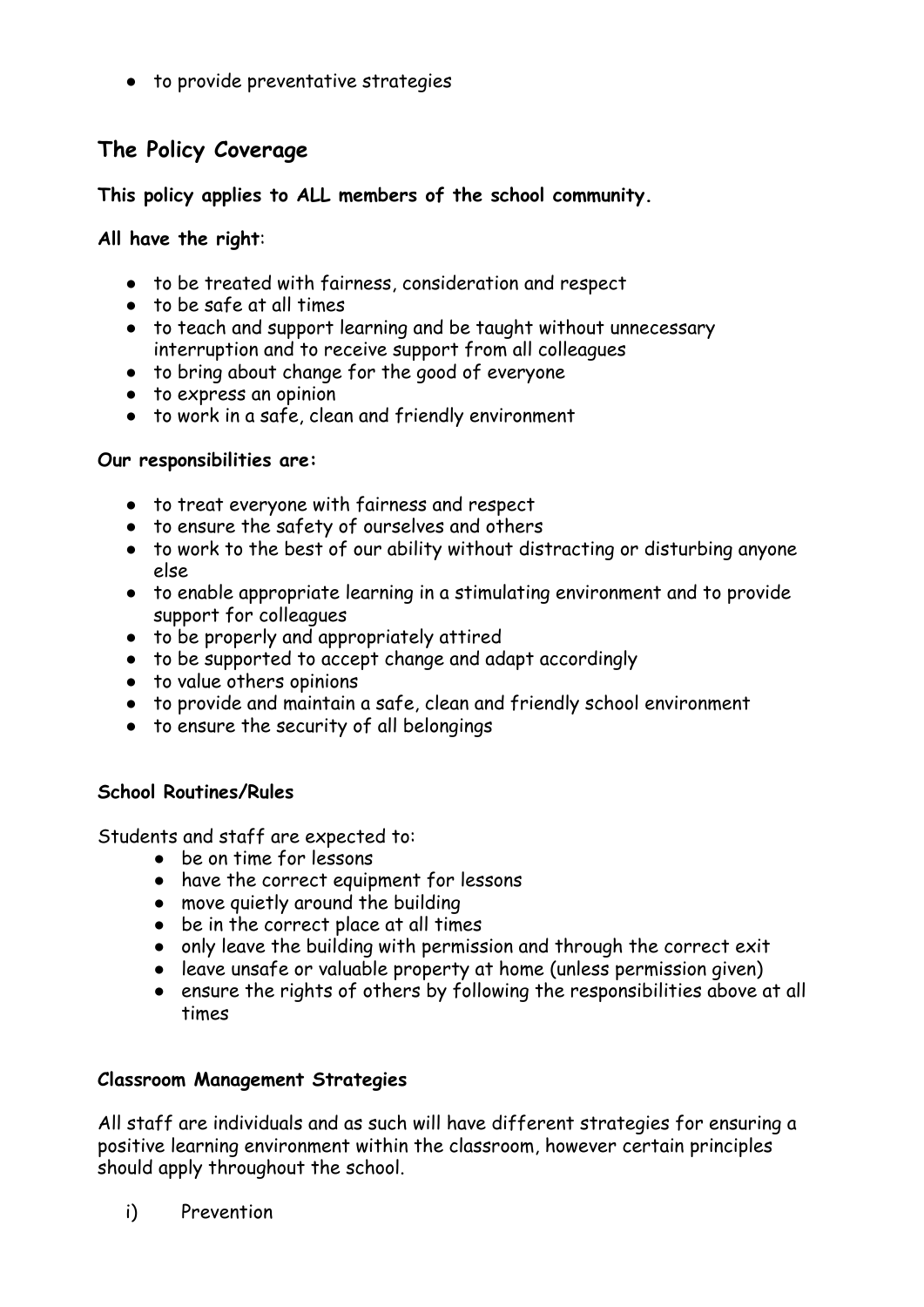● to provide preventative strategies

# **The Policy Coverage**

**This policy applies to ALL members of the school community.**

#### **All have the right**:

- to be treated with fairness, consideration and respect
- to be safe at all times
- to teach and support learning and be taught without unnecessary interruption and to receive support from all colleagues
- to bring about change for the good of everyone
- to express an opinion
- to work in a safe, clean and friendly environment

#### **Our responsibilities are:**

- to treat everyone with fairness and respect
- to ensure the safety of ourselves and others
- to work to the best of our ability without distracting or disturbing anyone else
- to enable appropriate learning in a stimulating environment and to provide support for colleagues
- to be properly and appropriately attired
- to be supported to accept change and adapt accordingly
- to value others opinions
- to provide and maintain a safe, clean and friendly school environment
- to ensure the security of all belongings

#### **School Routines/Rules**

Students and staff are expected to:

- be on time for lessons
- have the correct equipment for lessons
- move quietly around the building
- be in the correct place at all times
- only leave the building with permission and through the correct exit
- leave unsafe or valuable property at home (unless permission given)
- ensure the rights of others by following the responsibilities above at all times

#### **Classroom Management Strategies**

All staff are individuals and as such will have different strategies for ensuring a positive learning environment within the classroom, however certain principles should apply throughout the school.

i) Prevention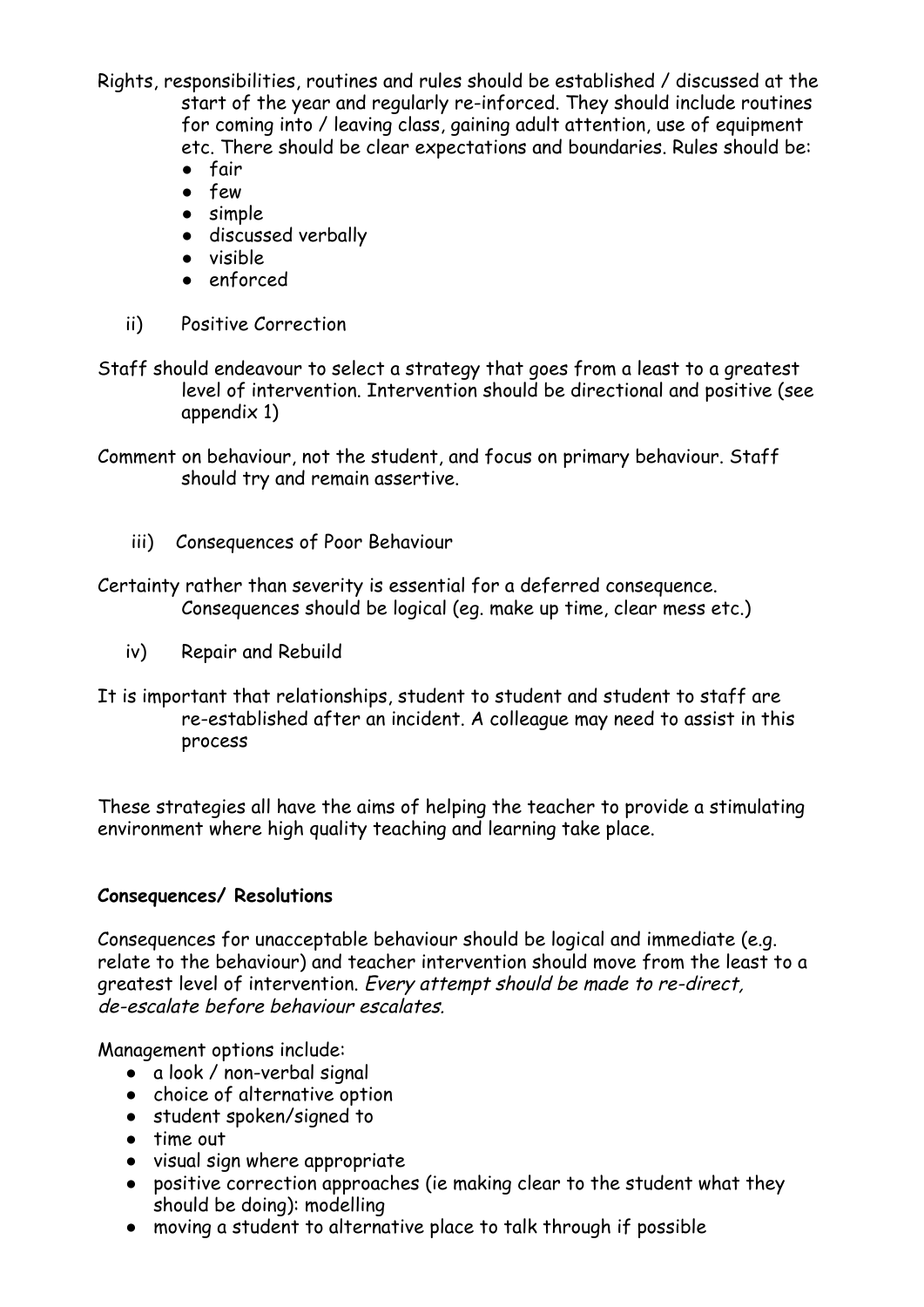Rights, responsibilities, routines and rules should be established / discussed at the start of the year and regularly re-inforced. They should include routines for coming into / leaving class, gaining adult attention, use of equipment etc. There should be clear expectations and boundaries. Rules should be:

- fair
- few
- simple
- discussed verbally
- visible
- enforced
- ii) Positive Correction
- Staff should endeavour to select a strategy that goes from a least to a greatest level of intervention. Intervention should be directional and positive (see appendix 1)
- Comment on behaviour, not the student, and focus on primary behaviour. Staff should try and remain assertive.
	- iii) Consequences of Poor Behaviour

Certainty rather than severity is essential for a deferred consequence. Consequences should be logical (eg. make up time, clear mess etc.)

- iv) Repair and Rebuild
- It is important that relationships, student to student and student to staff are re-established after an incident. A colleague may need to assist in this process

These strategies all have the aims of helping the teacher to provide a stimulating environment where high quality teaching and learning take place.

#### **Consequences/ Resolutions**

Consequences for unacceptable behaviour should be logical and immediate (e.g. relate to the behaviour) and teacher intervention should move from the least to a greatest level of intervention. Every attempt should be made to re-direct, de-escalate before behaviour escalates.

Management options include:

- a look / non-verbal signal
- choice of alternative option
- student spoken/signed to
- time out
- visual sign where appropriate
- positive correction approaches (ie making clear to the student what they should be doing): modelling
- moving a student to alternative place to talk through if possible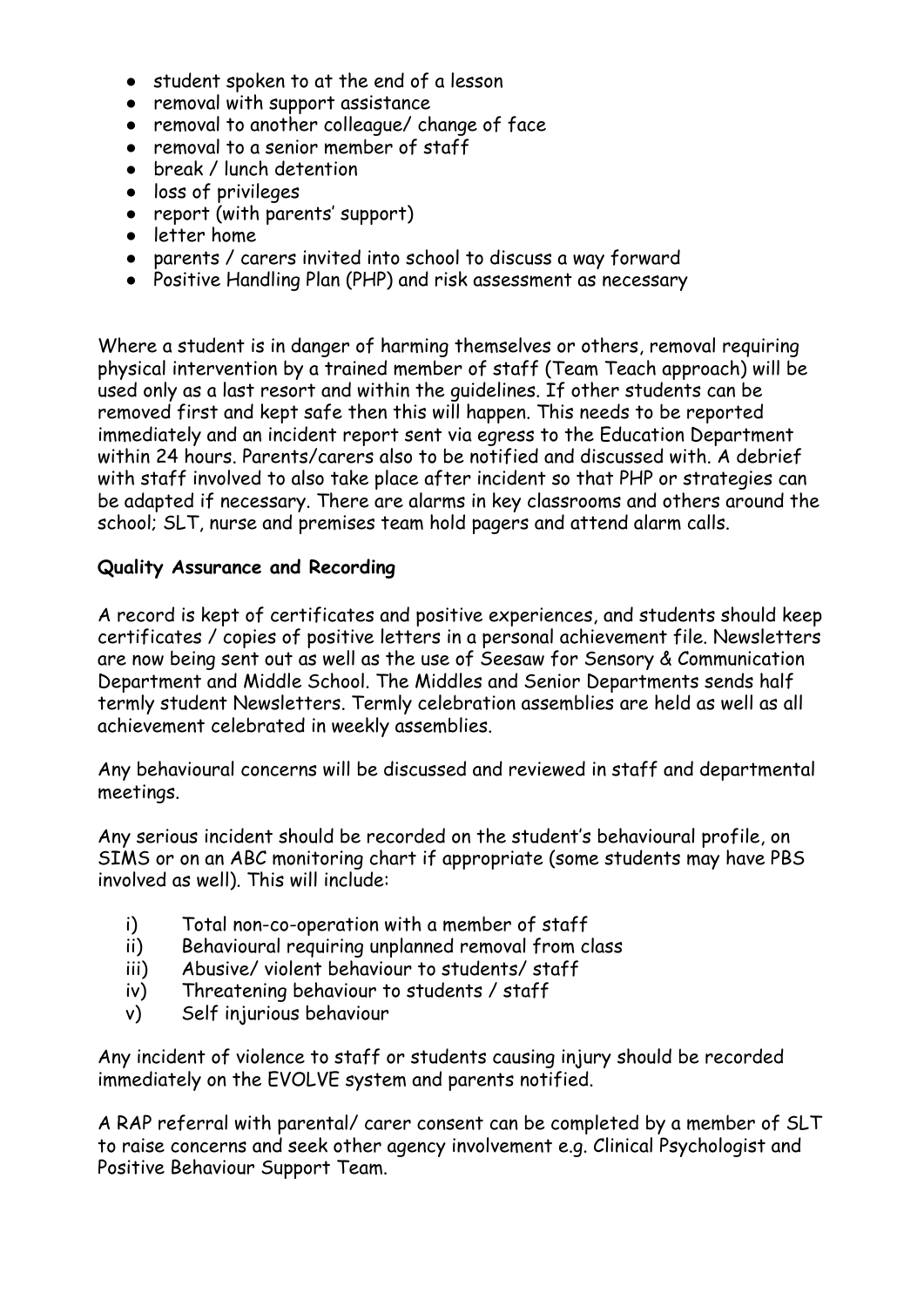- student spoken to at the end of a lesson
- removal with support assistance
- removal to another colleague/ change of face
- removal to a senior member of staff
- break / lunch detention
- loss of privileges
- report (with parents' support)
- letter home
- parents / carers invited into school to discuss a way forward
- Positive Handling Plan (PHP) and risk assessment as necessary

Where a student is in danger of harming themselves or others, removal requiring physical intervention by a trained member of staff (Team Teach approach) will be used only as a last resort and within the guidelines. If other students can be removed first and kept safe then this will happen. This needs to be reported immediately and an incident report sent via egress to the Education Department within 24 hours. Parents/carers also to be notified and discussed with. A debrief with staff involved to also take place after incident so that PHP or strategies can be adapted if necessary. There are alarms in key classrooms and others around the school; SLT, nurse and premises team hold pagers and attend alarm calls.

#### **Quality Assurance and Recording**

A record is kept of certificates and positive experiences, and students should keep certificates / copies of positive letters in a personal achievement file. Newsletters are now being sent out as well as the use of Seesaw for Sensory & Communication Department and Middle School. The Middles and Senior Departments sends half termly student Newsletters. Termly celebration assemblies are held as well as all achievement celebrated in weekly assemblies.

Any behavioural concerns will be discussed and reviewed in staff and departmental meetings.

Any serious incident should be recorded on the student's behavioural profile, on SIMS or on an ABC monitoring chart if appropriate (some students may have PBS involved as well). This will include:

- i) Total non-co-operation with a member of staff
- ii) Behavioural requiring unplanned removal from class
- iii) Abusive/ violent behaviour to students/ staff
- iv) Threatening behaviour to students / staff
- v) Self injurious behaviour

Any incident of violence to staff or students causing injury should be recorded immediately on the EVOLVE system and parents notified.

A RAP referral with parental/ carer consent can be completed by a member of SLT to raise concerns and seek other agency involvement e.g. Clinical Psychologist and Positive Behaviour Support Team.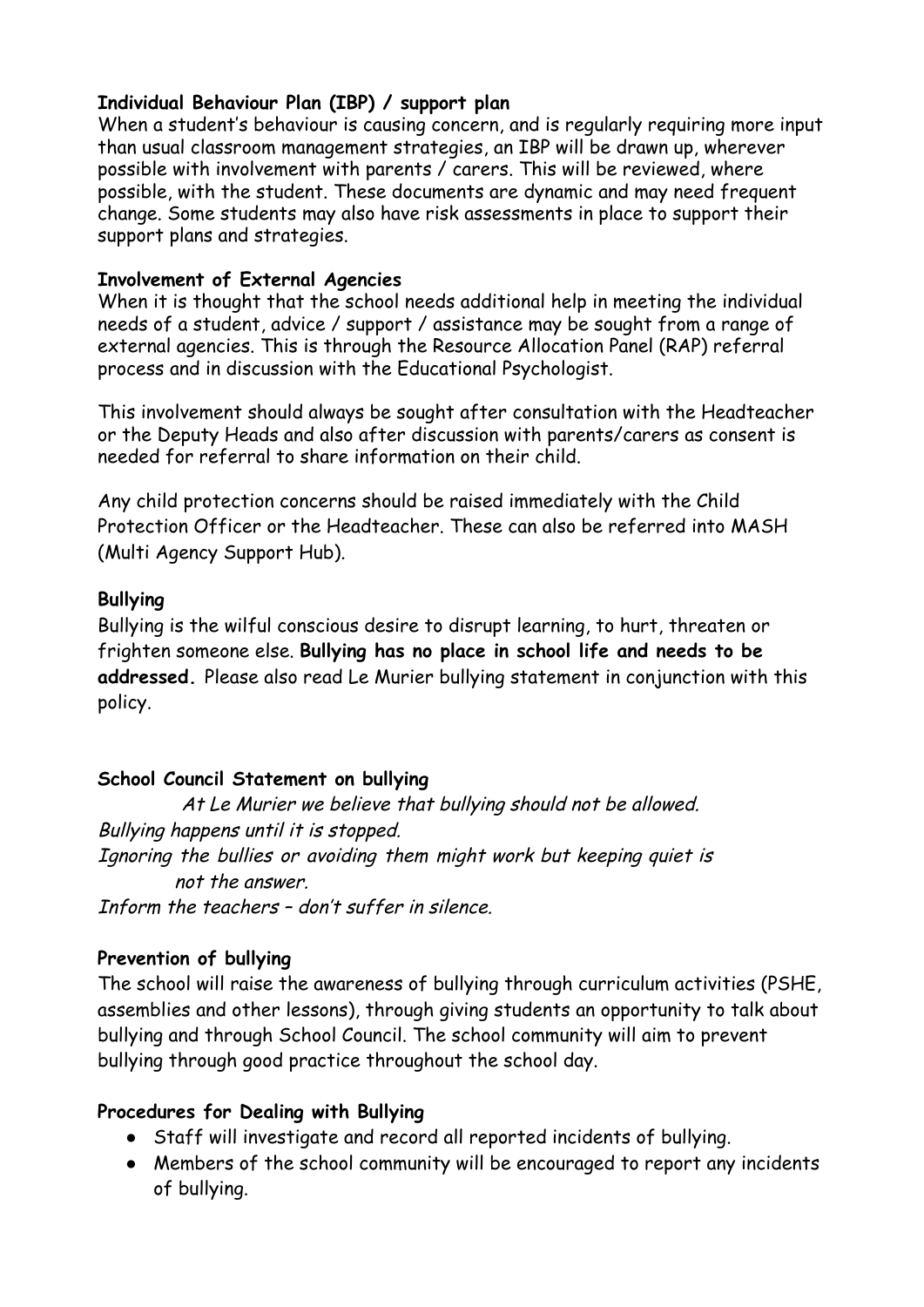#### **Individual Behaviour Plan (IBP) / support plan**

When a student's behaviour is causing concern, and is regularly requiring more input than usual classroom management strategies, an IBP will be drawn up, wherever possible with involvement with parents / carers. This will be reviewed, where possible, with the student. These documents are dynamic and may need frequent change. Some students may also have risk assessments in place to support their support plans and strategies.

#### **Involvement of External Agencies**

When it is thought that the school needs additional help in meeting the individual needs of a student, advice / support / assistance may be sought from a range of external agencies. This is through the Resource Allocation Panel (RAP) referral process and in discussion with the Educational Psychologist.

This involvement should always be sought after consultation with the Headteacher or the Deputy Heads and also after discussion with parents/carers as consent is needed for referral to share information on their child.

Any child protection concerns should be raised immediately with the Child Protection Officer or the Headteacher. These can also be referred into MASH (Multi Agency Support Hub).

#### **Bullying**

Bullying is the wilful conscious desire to disrupt learning, to hurt, threaten or frighten someone else. **Bullying has no place in school life and needs to be addressed.** Please also read Le Murier bullying statement in conjunction with this policy.

## **School Council Statement on bullying**

At Le Murier we believe that bullying should not be allowed. Bullying happens until it is stopped. Ignoring the bullies or avoiding them might work but keeping quiet is not the answer. Inform the teachers – don't suffer in silence.

## **Prevention of bullying**

The school will raise the awareness of bullying through curriculum activities (PSHE, assemblies and other lessons), through giving students an opportunity to talk about bullying and through School Council. The school community will aim to prevent bullying through good practice throughout the school day.

## **Procedures for Dealing with Bullying**

- Staff will investigate and record all reported incidents of bullying.
- Members of the school community will be encouraged to report any incidents of bullying.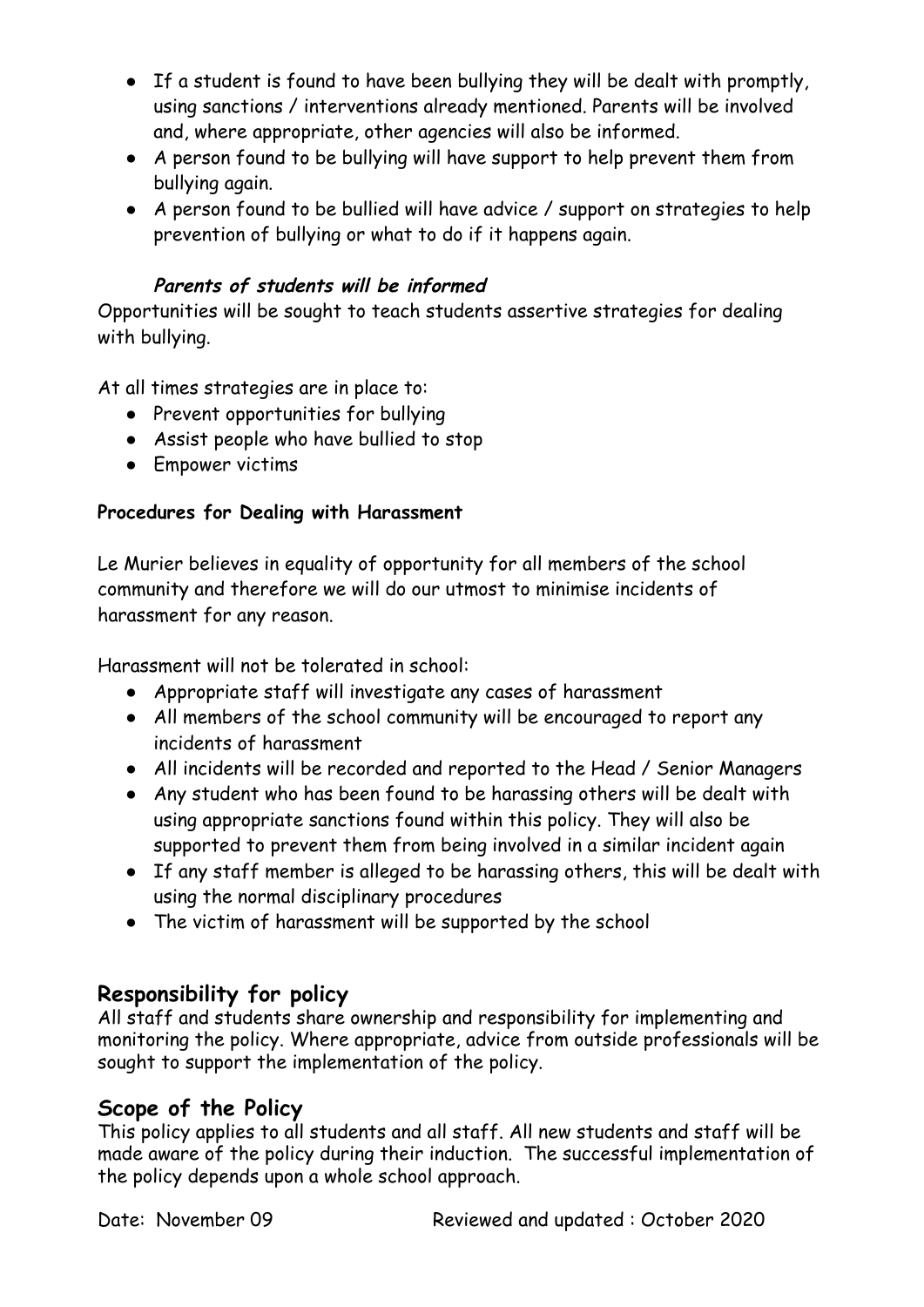- If a student is found to have been bullying they will be dealt with promptly, using sanctions / interventions already mentioned. Parents will be involved and, where appropriate, other agencies will also be informed.
- A person found to be bullying will have support to help prevent them from bullying again.
- A person found to be bullied will have advice / support on strategies to help prevention of bullying or what to do if it happens again.

# **Parents of students will be informed**

Opportunities will be sought to teach students assertive strategies for dealing with bullying.

At all times strategies are in place to:

- Prevent opportunities for bullying
- Assist people who have bullied to stop
- Empower victims

## **Procedures for Dealing with Harassment**

Le Murier believes in equality of opportunity for all members of the school community and therefore we will do our utmost to minimise incidents of harassment for any reason.

Harassment will not be tolerated in school:

- Appropriate staff will investigate any cases of harassment
- All members of the school community will be encouraged to report any incidents of harassment
- All incidents will be recorded and reported to the Head / Senior Managers
- Any student who has been found to be harassing others will be dealt with using appropriate sanctions found within this policy. They will also be supported to prevent them from being involved in a similar incident again
- If any staff member is alleged to be harassing others, this will be dealt with using the normal disciplinary procedures
- The victim of harassment will be supported by the school

# **Responsibility for policy**

All staff and students share ownership and responsibility for implementing and monitoring the policy. Where appropriate, advice from outside professionals will be sought to support the implementation of the policy.

# **Scope of the Policy**

This policy applies to all students and all staff. All new students and staff will be made aware of the policy during their induction. The successful implementation of the policy depends upon a whole school approach.